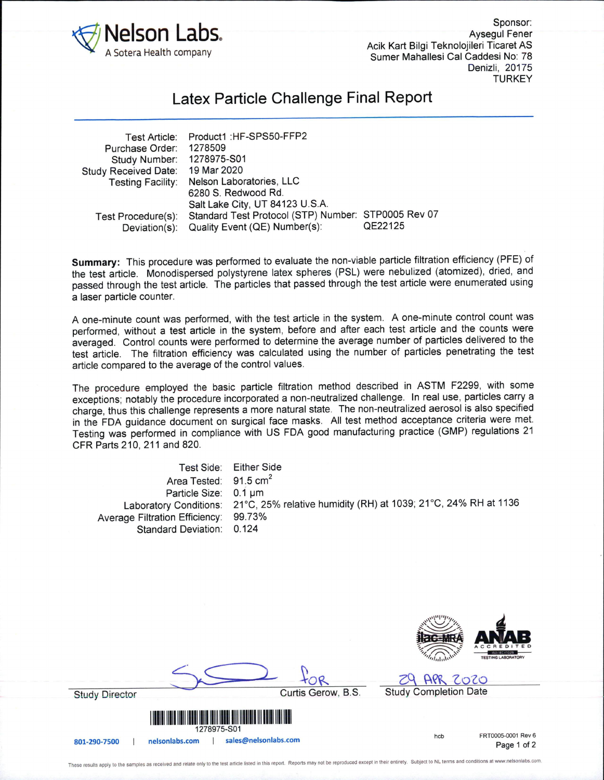

Sponsor: Aysegul Fener Acik Kart Bilgi Teknolojileri Ticaret AS Sumer Mahallesi Cal Caddesi No: 78 Denizli, 20175 **TURKEY** 

## Latex Particle Challenge Final Report

| Test Article:               | Product1 : HF-SPS50-FFP2                            |         |
|-----------------------------|-----------------------------------------------------|---------|
| Purchase Order:             | 1278509                                             |         |
| Study Number:               | 1278975-S01                                         |         |
| <b>Study Received Date:</b> | 19 Mar 2020                                         |         |
| <b>Testing Facility:</b>    | Nelson Laboratories, LLC                            |         |
|                             | 6280 S. Redwood Rd.                                 |         |
|                             | Salt Lake City, UT 84123 U.S.A.                     |         |
| Test Procedure(s):          | Standard Test Protocol (STP) Number: STP0005 Rev 07 |         |
| Deviation(s):               | Quality Event (QE) Number(s):                       | QE22125 |

Summary: This procedure was performed to evaluate the non-viable particle filtration efficiency (PFE) of the test article. Monodispersed polystyrene latex spheres (PSL) were nebulized (atomized), dried, and passed through the test article. The particles that passed through the test article were enumerated using a laser particle counter.

A one-minute count was performed, with the test article in the system. A one-minute control count was performed, without a test article in the system, before and after each test article and the counts were averaged. Control counts were performed to determine the average number of particles delivered to the test article. The filtration efficiency was calculated using the number of particles penetrating the test article compared to the average of the control values.

The procedure employed the basic particle filtration method described in ASTM F2299, with some exceptions; notably the procedure incorporated a non-neutralized challenge. In real use, particles carry a charge, thus this challenge represents a more natural state. The non-neutralized aerosol is also specified in the FDA guidance document on surgical face masks. All test method acceptance criteria were met. Testing was performed in compliance with US FDA good manufacturing practice (GMP) regulations 21 CFR Parts 210, 211 and 820.

Test Side: Either Side Area Tested: 91.5 cm<sup>2</sup> Particle Size: 0.1 µm Laboratory Conditions: 21°C, 25% relative humidity (RH) at 1039; 21°C, 24% RH at 1136 Average Filtration Efficiency: 99.73% Standard Deviation: 0.124



**Study Director** 

FRT0005-0001 Rev 6 hcb

Page 1 of 2

1278975-S01

801-290-7500 | nelsonlabs.com | sales@nelsonlabs.com